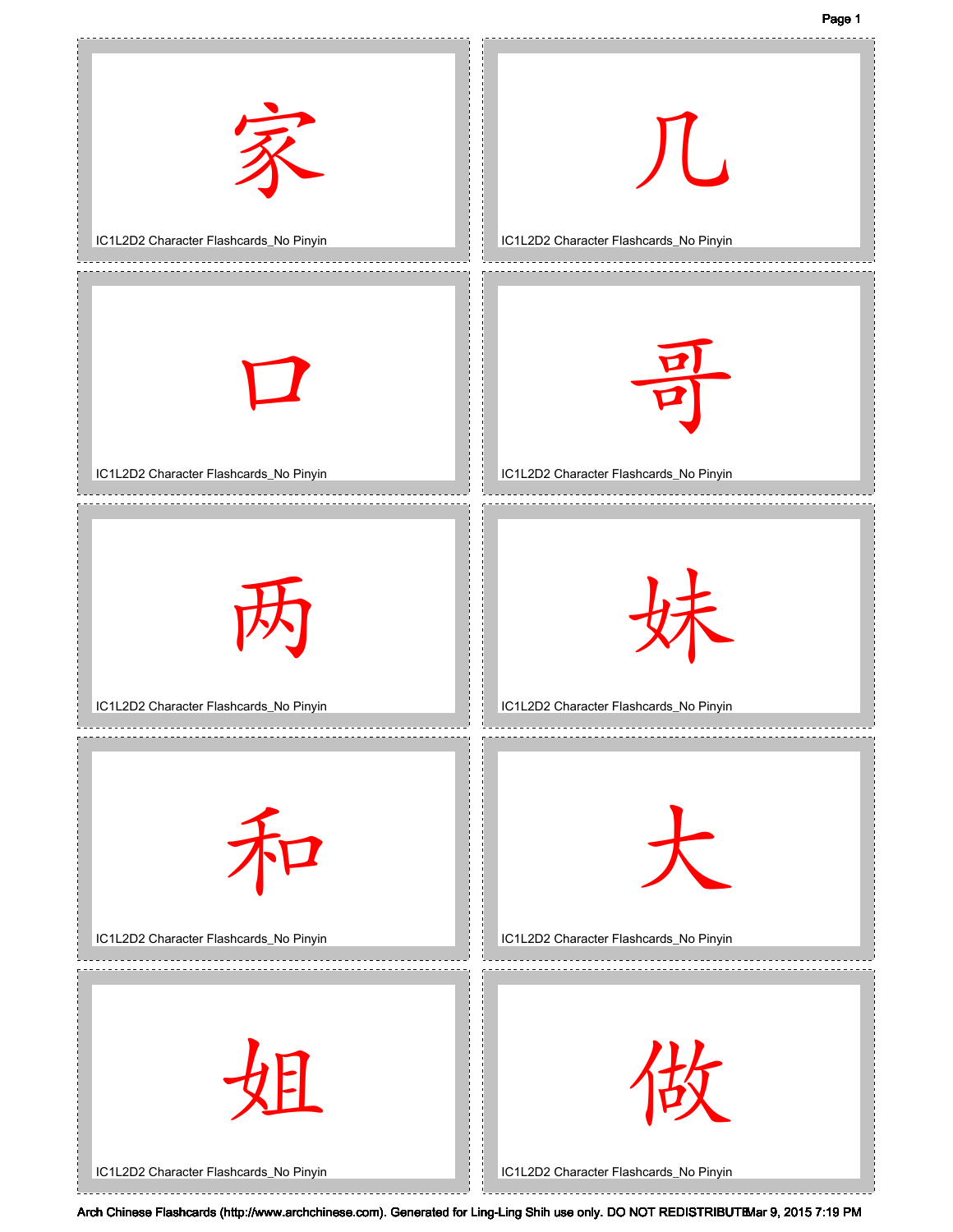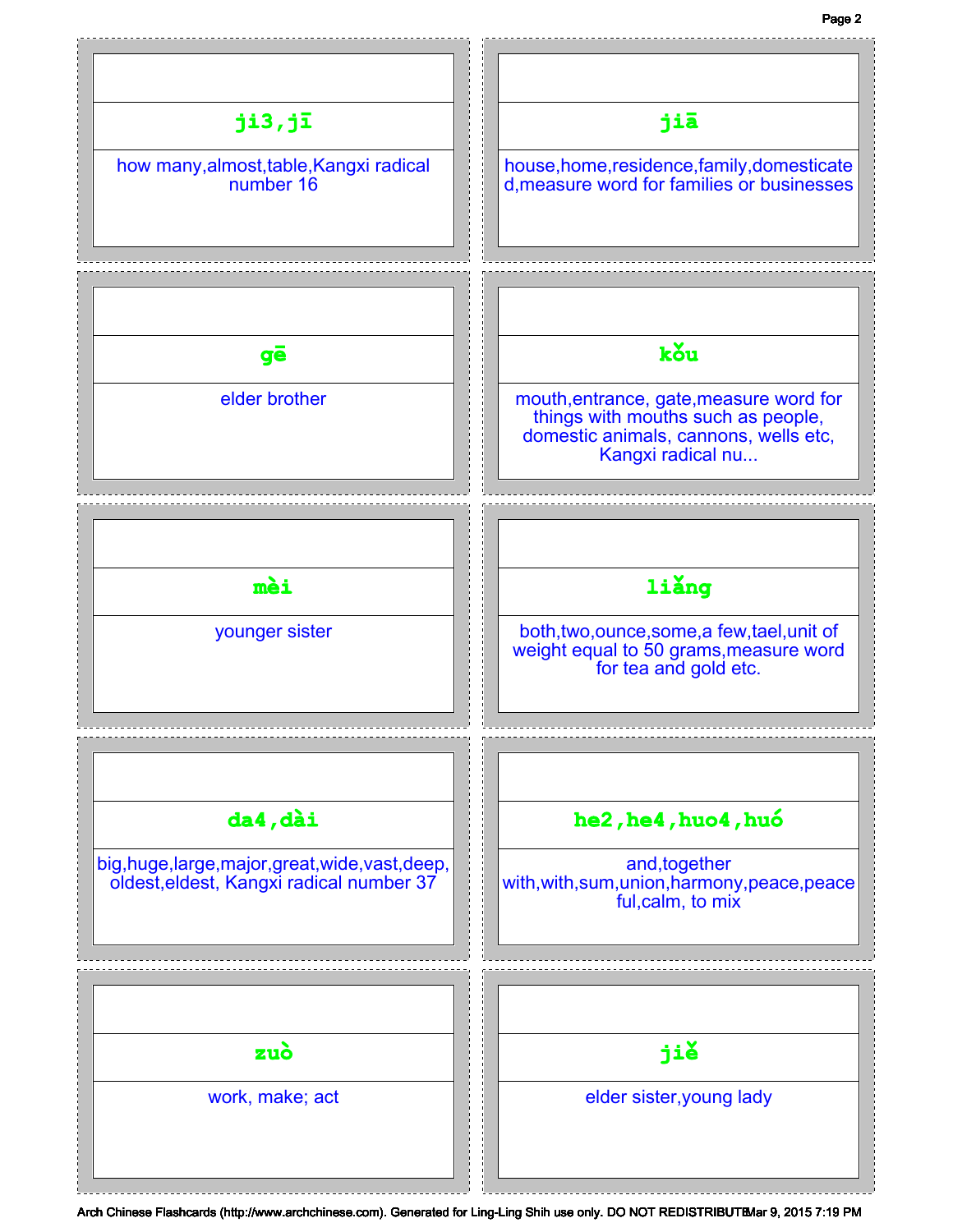## Page 2

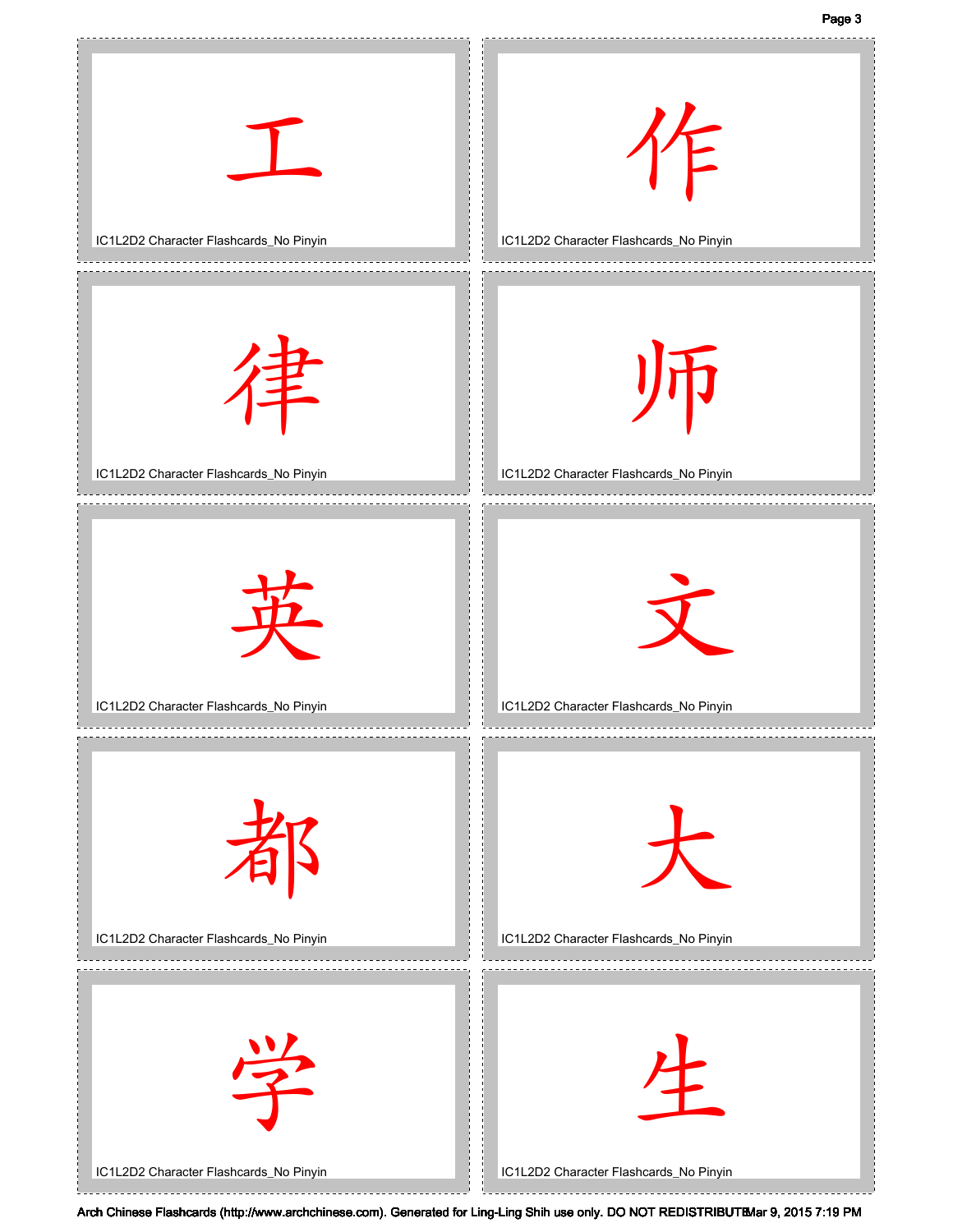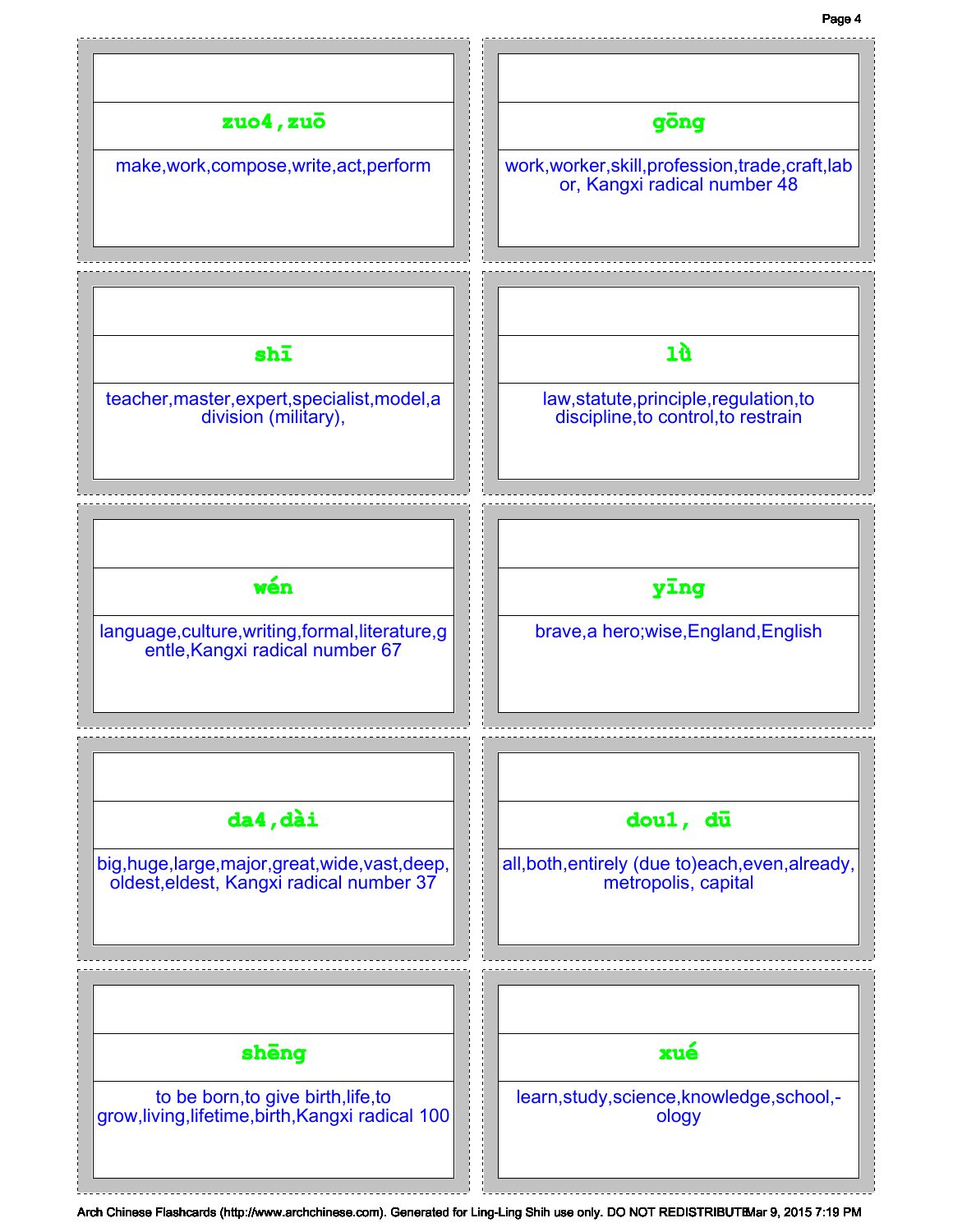## Page 4

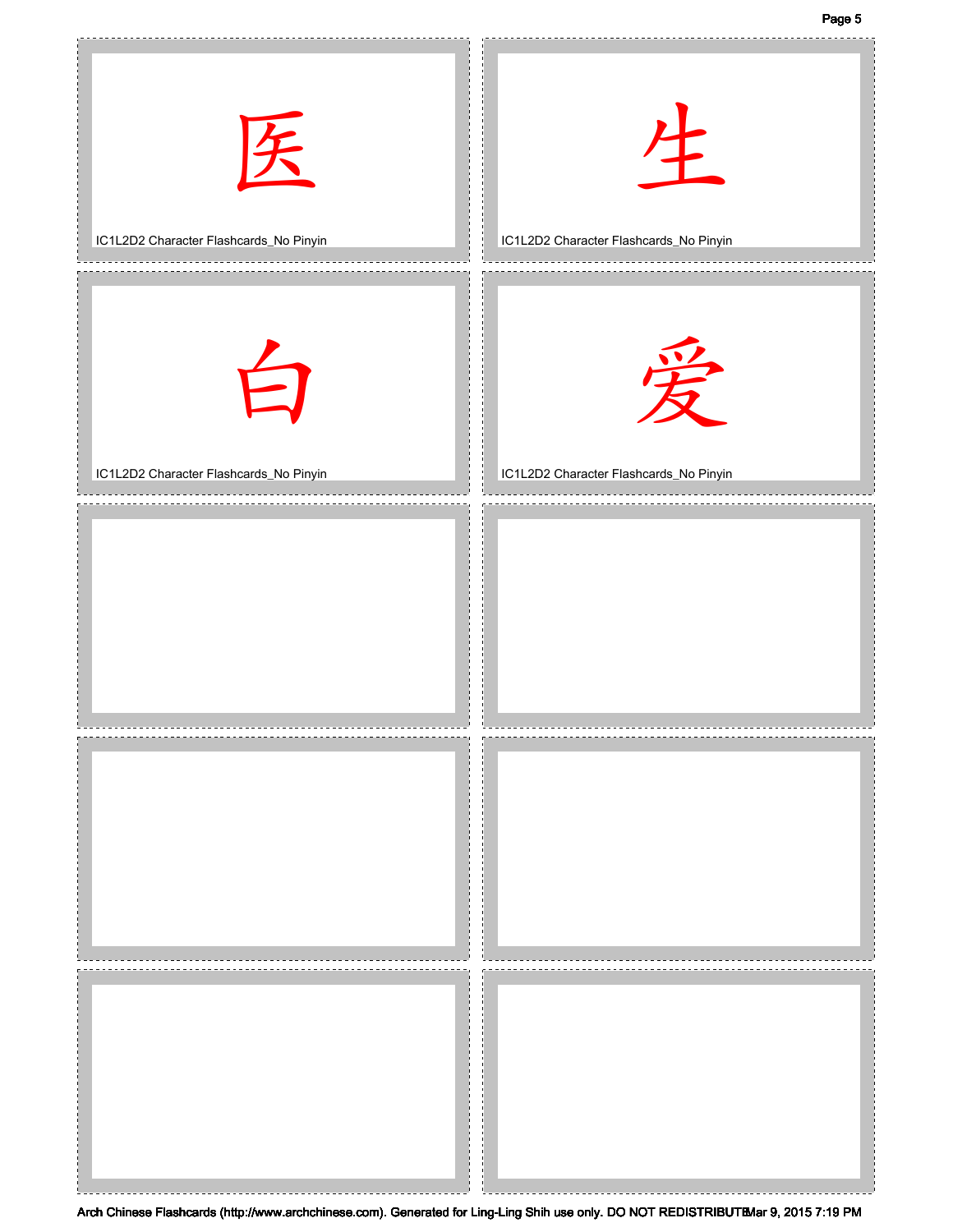